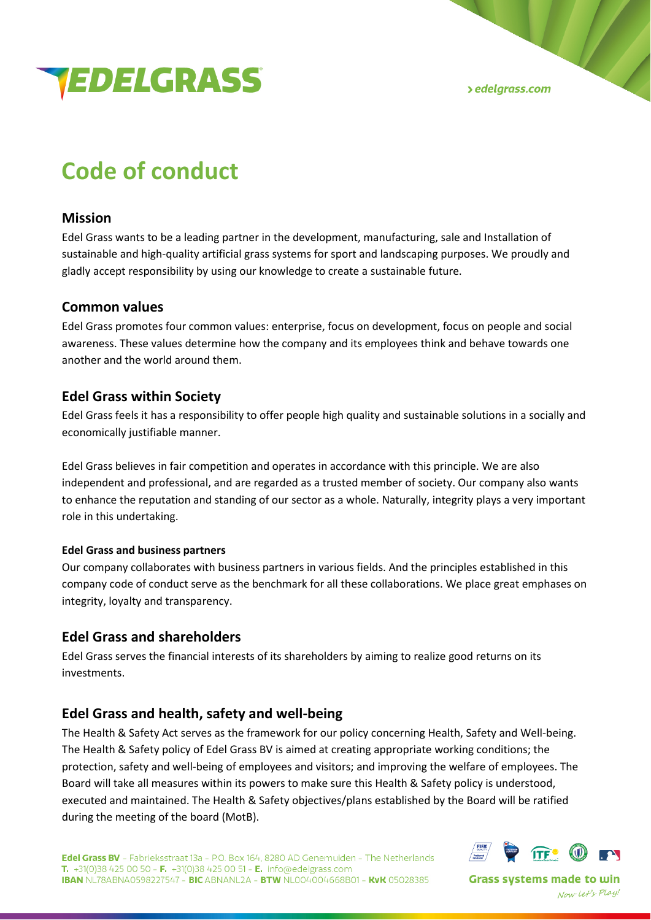



# **Code of conduct**

### **Mission**

Edel Grass wants to be a leading partner in the development, manufacturing, sale and Installation of sustainable and high-quality artificial grass systems for sport and landscaping purposes. We proudly and gladly accept responsibility by using our knowledge to create a sustainable future.

#### **Common values**

Edel Grass promotes four common values: enterprise, focus on development, focus on people and social awareness. These values determine how the company and its employees think and behave towards one another and the world around them.

### **Edel Grass within Society**

Edel Grass feels it has a responsibility to offer people high quality and sustainable solutions in a socially and economically justifiable manner.

Edel Grass believes in fair competition and operates in accordance with this principle. We are also independent and professional, and are regarded as a trusted member of society. Our company also wants to enhance the reputation and standing of our sector as a whole. Naturally, integrity plays a very important role in this undertaking.

#### **Edel Grass and business partners**

Our company collaborates with business partners in various fields. And the principles established in this company code of conduct serve as the benchmark for all these collaborations. We place great emphases on integrity, loyalty and transparency.

### **Edel Grass and shareholders**

Edel Grass serves the financial interests of its shareholders by aiming to realize good returns on its investments.

### **Edel Grass and health, safety and well-being**

The Health & Safety Act serves as the framework for our policy concerning Health, Safety and Well-being. The Health & Safety policy of Edel Grass BV is aimed at creating appropriate working conditions; the protection, safety and well-being of employees and visitors; and improving the welfare of employees. The Board will take all measures within its powers to make sure this Health & Safety policy is understood, executed and maintained. The Health & Safety objectives/plans established by the Board will be ratified during the meeting of the board (MotB).



**Grass systems made to win** Now Let's Play!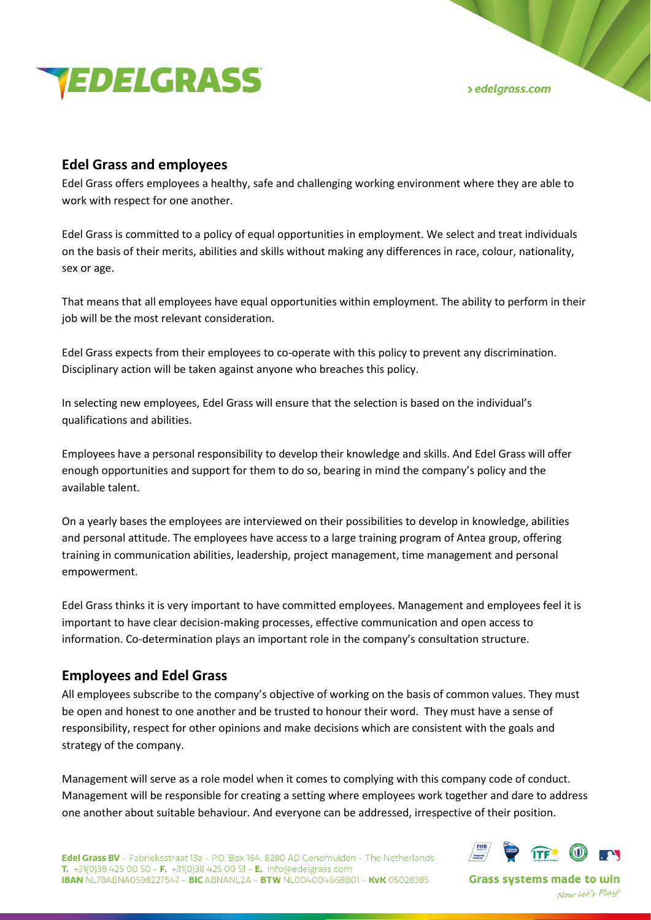

**>** edelgrass.com

### **Edel Grass and employees**

Edel Grass offers employees a healthy, safe and challenging working environment where they are able to work with respect for one another.

Edel Grass is committed to a policy of equal opportunities in employment. We select and treat individuals on the basis of their merits, abilities and skills without making any differences in race, colour, nationality, sex or age.

That means that all employees have equal opportunities within employment. The ability to perform in their job will be the most relevant consideration.

Edel Grass expects from their employees to co-operate with this policy to prevent any discrimination. Disciplinary action will be taken against anyone who breaches this policy.

In selecting new employees, Edel Grass will ensure that the selection is based on the individual's qualifications and abilities.

Employees have a personal responsibility to develop their knowledge and skills. And Edel Grass will offer enough opportunities and support for them to do so, bearing in mind the company's policy and the available talent.

On a yearly bases the employees are interviewed on their possibilities to develop in knowledge, abilities and personal attitude. The employees have access to a large training program of Antea group, offering training in communication abilities, leadership, project management, time management and personal empowerment.

Edel Grass thinks it is very important to have committed employees. Management and employees feel it is important to have clear decision-making processes, effective communication and open access to information. Co-determination plays an important role in the company's consultation structure.

## **Employees and Edel Grass**

All employees subscribe to the company's objective of working on the basis of common values. They must be open and honest to one another and be trusted to honour their word. They must have a sense of responsibility, respect for other opinions and make decisions which are consistent with the goals and strategy of the company.

Management will serve as a role model when it comes to complying with this company code of conduct. Management will be responsible for creating a setting where employees work together and dare to address one another about suitable behaviour. And everyone can be addressed, irrespective of their position.



**Grass systems made to win** Now Let's Play!